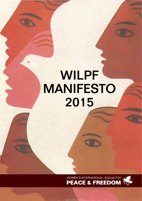# WILPF MANIFESTO 2015

WOMEN'S INTERNATIONAL LEAGUE FOR

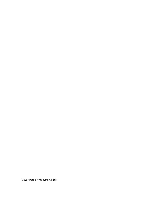Cover image: Wackystuff/Flickr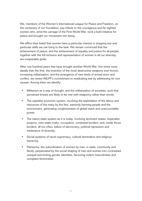We, members of the Women's International League for Peace and Freedom, on the centenary of our foundation, pay tribute to the courageous and far-sighted women who, amid the carnage of the First World War, took a bold initiative for peace and brought our movement into being.

We affirm their belief that women have a particular interest in stopping war and particular skills we can bring to the task. We remain convinced that the achievement of peace, and the achievement of equality and justice for all people, together with the full inclusion and representation of women in all our diversity, are inseparable goals.

After one hundred years that have brought another World War, five times more deadly than the first, the invention of the most destructive weapons ever known, increasing militarisation, and the emergence of new kinds of armed actor and conflict, we renew WILPF's commitment to eradicating war by addressing its root causes. Among them we identify:

- Militarism as a way of thought, and the militarisation of societies, such that perceived threats are likely to be met with weaponry rather than words;
- The capitalist economic system, involving the exploitation of the labour and resources of the many by the few, wantonly harming people and the environment, generating conglomerates of global reach and unaccountable power;
- The nation-state system as it is today, involving dominant states, imperialist projects, inter-state rivalry, occupation, contested borders, and, inside those borders, all too often, failure of democracy, political repression and intolerance of diversity;
- Social systems of racist supremacy, cultural domination and religious hierarchy;
- Patriarchy, the subordination of women by men, in state, community and family, perpetuated by the social shaping of men and women into contrasted, unequal and limiting gender identities, favouring violent masculinities and compliant femininities.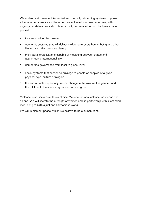We understand these as intersected and mutually reinforcing systems of power, all founded on violence and together productive of war. We undertake, with urgency, to strive creatively to bring about, before another hundred years have passed:

- total worldwide disarmament;
- economic systems that will deliver wellbeing to every human being and other life forms on this precious planet;
- multilateral organisations capable of mediating between states and guaranteeing international law;
- democratic governance from local to global level;
- social systems that accord no privilege to people or peoples of a given physical type, culture or religion;
- the end of male supremacy, radical change in the way we live gender, and the fulfilment of women's rights and human rights.

Violence is not inevitable. It is a choice. We choose non-violence, as means and as end. We will liberate the strength of women and, in partnership with likeminded men, bring to birth a just and harmonious world.

We will implement peace, which we believe to be a human right.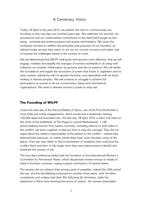# A Centenary Vision

Today, 28 April in the year 2015, we publish this text to commemorate our founding on this very day one hundred years ago. We celebrate our survival, our persistence and our undiminished commitment to the ideal that brought us into being - universal and enduring peace with justice and freedom. We seize this centenary moment to reaffirm the principles and purposes of our founders, as relevant today as ever they were; to set out our current concerns and tasks; and to foresee the challenges ahead in the century to come.

We are determined that WILPF shall grow and become more effective, that we will engage, mobilise and amplify the energies of women worldwide to do away with militarism as mindset, militarisation as process and war as practice. We will shake the foundations and topple the structures of power that foster it: capitalism and its class system, patriarchy with its gender hierarchy, and nationalism with its racist ranking of diverse peoples. We will continue to struggle to achieve full participation as women in all our communities, states and international organisations. We seek to liberate women's power to stop war.

# **The Founding of WILPF**

It was the sixth day of the Second Battle of Ypres, one of the First World War's most futile and costly engagements, which would end in stalemate, leaving 122,000 dead and wounded men. On that day, 28 April 1915, a mere 104 miles to the north of the battlefield, at The Hague in neutral Netherlands, 1,136 peace-seeking women from twelve countries, including nations on both sides in the conflict, sat down together to discuss how to stop the carnage. They did not argue about the relative responsibility of the parties to the conflict – indeed they believed that everyone, no matter where they lived, must shoulder some of the blame. Their aim was rather to find a mechanism of mediation that could end the conflict there and then. In the longer term they were determined to identify and eradicate the causes of war.

The four-day conference ended with the formation of the International Women's Committee for Permanent Peace, which dispatched women envoys to heads of state in fourteen countries, urging a peace commission of neutral states.

The women did not achieve their primary goal of ceasefire. Indeed the USA joined the war, and the bloodletting continued for another three years, until 16 million combatants and civilians had died. But following the Armistice, while the statesmen in Paris were devising the terms of 'peace', the women assembled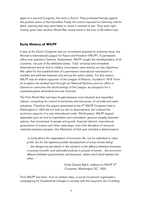again at a second Congress, this time in Zurich. They protested fiercely against the punitive terms of the Versailles Treaty the victors imposed on Germany and its allies, warning that they were likely to cause a renewal of war. They were right. Twenty years later another World War would result in the loss of 80 million lives.

# **Early History of WILPF**

It was at the Zurich Congress that our movement acquired its enduring name, the Women's International League for Peace and Freedom (WILPF). A permanent office was opened in Geneva, Switzerland. WILPF sought the demilitarisation of all countries, not just of the defeated states. Total, universal and immediate disarmament and an end to military conscription were among our key objectives. We called for the establishment of a permanent international mechanism to mediate and arbitrate between and among the nation states. For this reason, WILPF was an ardent supporter of the League of Nations, founded in 1919. From its inception we worked hard through our National Sections and our office in Geneva to overcome the shortcomings of the League, as prospects for a sustained peace diminished and war returned.

The First World War had been fought between rival industrial and imperialist nations, competing for control of territories and resources, of oil wells and steel industries. Therefore the papers presented at the  $4<sup>th</sup>$  WILPF Congress held in Washington in 1924 did not limit our aim to disarmament, but outlined the economic aspects of a new international order. World peace, WILPF argued, depended upon an end to imperialism and colonialism; genuine equality between nations; free movement of people and goods; financial reforms; international governance of oceans and other waterways; and a fair allocation of resource materials between peoples. Our Manifesto of that year included a determination:

'to bring about the organization of economic life, not for individual or class profit, but for the highest possible development of every human being'. '…the dangerous peculiarity in the situation is the alliance between business in pursuit of profit, and nationalist policies in pursuit of power…the economic alliance between governments and business, where each hand washes the other...'

> Emily Greene Balch, address to WILPF 4<sup>th</sup> Congress, Washington DC, 1924.

Thus WILPF has been, from its earliest days, a social movement organisation, campaigning for fundamental changes in society with the long-term aim of ending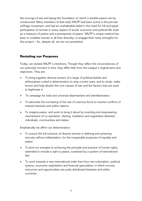the scourge of war and laying the foundation on which a durable peace can be constructed. Many members of that early WILPF had been active in the pre-war suffrage movement, and had an unshakeable belief in the need for full and equal participation of women in every aspect of social, economic and political life, both as a measure of justice and a prerequisite of peace. WILPF's unique method has been to mobilise women in all their diversity, to engage their many strengths for this project – for, despite all, we are not powerless!

# **Restating our Purposes**

Today, we restate WILPF's intentions. Though they reflect the circumstances of our particular moment in time, they differ little from the League's original aims and objectives. They are:

- To bring together diverse women of a range of political beliefs and philosophies united in determination to stop current wars, and to study, make known and help abolish the root causes of war and the factors that are used to legitimate it.
- To campaign for total and universal disarmament and demilitarisation.
- To advocate the out-lawing of the use of coercive force to resolve conflicts of interest between and within nations.
- To imagine peace, and work to bring it about by inventing and empowering mechanisms of co-operation, sharing, mediation and negotiation between individuals, communities and states.

Emphatically we affirm our determination:

- To ensure the full inclusion of diverse women in defining and achieving security without militarisation, for the inseparable purposes of equality and peace.
- To lend our energies to achieving the principle and practice of human rights, extended to include a right to peace, sustained by a system of international law.
- To work towards a new international order free from neo-colonialism, political tyranny, economic exploitation and financial speculation, in which income, resources and opportunities are justly distributed between and within countries.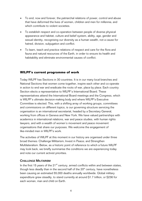- To end, now and forever, the patriarchal relations of power, control and abuse that have deformed the lives of women, children and men for millennia, and which contribute to violent societies.
- To establish respect and co-operation between people of diverse physical appearance and habitat, culture and belief system, ability, age, gender and sexual identity, recognising our diversity as a human wealth, not a cause for hatred, division, subjugation and conflict.
- To learn, teach and practice relations of respect and care for the flora and fauna and natural resources of the Earth, in order to ensure its health and habitability and eliminate environmental causes of conflict.

# **WILPF's current programme of work**

Today WILPF has Sections in 30 countries. It is in our many local branches and National Sections that women come together, inspire each other and co-operate in action to end war and eradicate the roots of war, place by place. Each country Section elects a representative to WILPF's International Board. These representatives attend the International Board meetings and the Congress, which is WILPF's ultimate decision-making body and where WILPF's Executive Committee is elected. This, with a shifting array of working groups, committees and commissions on different topics, is our governing structure servicing the organisation is an international secretariat, headed by a Secretary General, working from offices in Geneva and New York. We have valued partnerships with academics in international relations, war and peace studies, with human rights lawyers, and with a wealth of women's movement and peace movement organisations that share our purposes. We welcome the engagement of like-minded men in WILPF's work.

The activities of WILPF at this moment in our history are organised under three broad themes: Challenge Militarism; Invest in Peace; and Strengthen Multilateralism. Below, as a historic point of reference to which a future WILPF may look back, we briefly summarise the conditions we are experiencing today and note our current activist priorities.

# CHALLENGE MILITARISM

In the first 15 years of the  $21<sup>st</sup>$  century, armed conflicts within and between states, though less deadly than in the second half of the  $20<sup>th</sup>$  century, have nonetheless been causing an estimated 55,000 deaths annually worldwide. Global military expenditure grew steadily, to stand currently at around \$1.7 trillion, or \$236 for each woman, man and child on Earth.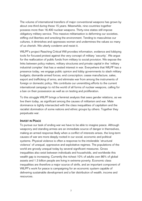The volume of international transfers of major conventional weapons has grown by about one-third during these 15 years. Meanwhile, nine countries together possess more than 16,400 nuclear weapons. Thirty-nine states still impose obligatory military service. This massive militarisation is deforming our societies, stifling civil liberties and wrecking the environment. Tending to masculinise our cultures, it diminishes and oppresses women and undermines the values so many of us cherish. We utterly condemn and resist it.

WILPF's project Reaching Critical Will provides information, evidence and lobbying tools for focused protest against the very concept of military 'security'. We argue for the reallocation of public funds from military to social provision. We expose the links between policy makers, military structures and private capital in the 'military industrial complex' that has a vested interest in war. Everywhere that WILPF has a presence today, we engage public opinion and lobby governments to slash military budgets; dismantle armed forces; end conscription; cease manufacture, sales, export and trafficking of arms; and eliminate war from among the instruments of foreign or domestic policy. We contribute our unremitting efforts to the current international campaign to rid the world of all forms of nuclear weapons, calling for a ban on their possession as well as on testing and proliferation.

To this struggle WILPF brings a feminist analysis that sees gender relations, as we live them today, as significant among the causes of militarism and war. Male dominance is tightly intersected with the class inequalities of capitalism and the racialist domination of some nations and ethnic groups by others. Together they perpetuate war.

## INVEST IN PEACE

To pursue our task of ending war we have to be able to imagine peace. Although weaponry and standing armies are an immediate source of danger in themselves, making an armed response likely when a conflict of interests arises, the long-term causes of war are more deeply rooted in our social, economic and political systems. Physical violence is often a response to the intolerable 'structural violence' of unequal, oppressive and exploitative regimes. The populations of the world are grossly unequal today by several significant measures. Gross inequalities also exist between individuals and households, and worldwide this wealth gap is increasing. Currently the richest 10% of adults own 86% of global assets and 1.3 billion people are living in extreme poverty. Economic class inequalities are therefore a major source of strife, and an important component of WILPF's work for peace is campaigning for an economic system capable of delivering sustainable development and a fair distribution of wealth, income and resources.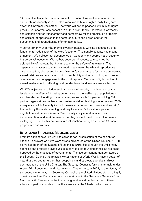'Structural violence' however is political and cultural, as well as economic, and another huge disparity is in people's recourse to human rights, sixty-five years after the Universal Declaration. The world will not be peaceful until human rights prevail. An important component of WILPF's work today, therefore, is advocacy and campaigning for transparency and democracy; for the eradication of racism and sexism, of oppression in the name of culture and belief, and for the observance and strengthening of international law.

A current priority under the theme 'invest in peace' is winning acceptance of a fundamental redefinition of the word 'security'. Traditionally security has meant armament. We believe that dependence on weaponry is a source not of security but perennial insecurity. We, rather, understand security to mean not the defensibility of the state but human security, the safety of its citizens. This depends upon access to nutritious food, clean water, health and reproductive care, education, shelter and income. Women's security calls for choice concerning sexual relations and marriage, control over fertility and reproduction, and freedom of movement and engagement in the public sphere. Our insecurity is manifest in sexual enslavement, trafficking, and gender based and sexual violence by men.

WILPF's objective is to lodge such a concept of security in policy-making at all levels with the effect of focusing governance on the wellbeing of populations – and, besides, of liberating women's energies and skills for peace-building. With partner organisations we have been instrumental in obtaining, since the year 2000, a sequence of UN Security Council Resolutions on 'women, peace and security' that embody this understanding, and require women's inclusion in peace negotiation and peace missions. We critically analyse and monitor their implementation, and seek to ensure that they are not used to co-opt women into military agendas. To this end we share information through our Peace Women programme and website.

## REFORM AND STRENGTHEN MULTILATERALISM

From its earliest days, WILPF has called for an 'organisation of the society of nations' to prevent war. We were strong advocates of the United Nations in 1945 as we had been of the League of Nations in 1919. But although the UN's many agencies and projects provide valuable services, its founding principles are being betrayed by the practices of governments. The five permanent member states of the Security Council, the principal victor nations of World War II, have a power of veto that they use to further their geopolitical and strategic agendas in direct contradiction of the UN's Charter. The Security Council is failing in its task, under Article 26, of securing world disarmament. Furthermore, in 2008, to the dismay of the peace movement, the Secretary General of the United Nations signed a highly questionable Joint Declaration of Co-operation with the Secretary General of the North Atlantic Treaty Organization, an aggressive and nuclear-armed military alliance of particular states. Thus the essence of the Charter, which lies in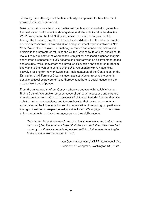observing the wellbeing of all the human family, as opposed to the interests of powerful nations, is perverted.

Now more than ever a functional multilateral mechanism is needed to guarantee the best aspects of the nation state system, and eliminate its lethal tendencies. WILPF was one of the first NGOs to receive consultative status at the UN through the Economic and Social Council under Article 71 of the Charter, and has continually monitored, informed and lobbied government representatives in New York. We continue to work unremittingly to remind and educate diplomats and officials in the interests of returning the United Nations to its original principles, to make it truly a guarantor of world peace with justice. We insert a gender analysis and women's concerns into UN debates and programmes on disarmament, peace and security, while, conversely, we introduce discussion and action on militarism and war into the women's sphere at the UN. We engage with UN agencies, actively pressing for the worldwide local implementation of the Convention on the Elimination of All Forms of Discrimination against Women to enable women's genuine political empowerment and thereby contribute to social justice and the greater likelihood of peace.

From the vantage point of our Geneva office we engage with the UN's Human Rights Council. We enable representatives of our country sections and partners to make an input to the Council's process of Universal Periodic Review, thematic debates and special sessions, and to carry back to their own governments an expectation of the full recognition and implementation of human rights, particularly the right of women to respect, equality and inclusion. We engage with the human rights treaty bodies to insert our message into their deliberations.

'New times demand new deeds and conditions, new work, and perhaps even new principles. We must not forget that history is evolution. Time must find us ready…with the same self-respect and faith in what women have to give to the world as did the women in 1915.'

> Lida Gustava Heymann, WILPF International Vice President, 4<sup>th</sup> Congress, Washington DC, 1924.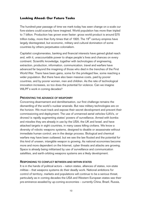# **Looking Ahead: Our Future Tasks**

The hundred-year passage of time we mark today has seen change on a scale our fore-sisters could scarcely have imagined. World population has more than tripled to 7 billion. Production has grown even faster: gross world product is around \$75 trillion today, more than forty times that of 1920. The 19<sup>th</sup> century empires have largely disintegrated, but economic, military and cultural domination of some countries by others perpetuates colonialism.

Capitalist conglomerates, banking and financial interests have gained global reach and, with it, unaccountable power to shape people's lives and chances on every continent. Scientific knowledge, together with technologies of engineering, extraction, production, information, communication, travel and warfare have advanced far beyond the imagining of those who died in the trenches of the First World War. There have been gains, some for the privileged few, some reaching a wider population. But there have also been massive costs, paid by poorer countries, and by poorer women, men and children. As the rate of technological innovation increases, so too does the potential for violence. Can we imagine WILPF's work in coming decades?

## PREVENTING THE ADVANCE OF WEAPONRY

Concerning disarmament and demilitarisation, our first challenge remains the dismantling of the world's nuclear arsenals. But new military technologies are on the horizon. We must track and expose their secret development and prevent their commissioning and deployment. The use of unmanned aerial vehicles (UAVs, or drones) is rapidly augmenting states' powers of surveillance. Armed with bombs and missiles they are already in use by the USA, the UK and Israel, and have attacked targets in eight countries, in many cases killing civilians. We know a diversity of robotic weapons systems, designed to disable or assassinate without immediate human control, are in the design process. Biological and chemical warfare may have been outlawed, but we see the law flouted and the potential for this kind of unseen, intangible weapon is growing. As national economies become more and more dependent on the Internet, cyber threats and attacks are growing. Space is already being militarised by use of surveillance and communication satellites, and earth-orbiting weapons systems are a likely development.

## RESPONDING TO CONFLICT BETWEEN AND WITHIN STATES

It is in the hands of political actors – nation states, alliances of states, non-state militias – that weapons systems do their deadly work. National ambitions for control of territory, markets and populations will continue to be a serious threat, particularly as in coming decades the USA and Western European states see their pre-eminence assailed by up-coming economies – currently China, Brazil, Russia,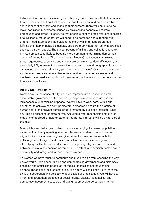India and South Africa. Likewise, groups holding state power are likely to continue to strive for control of political machinery, and to repress, and be resisted by, aspirant minorities within and spanning their borders. There will continue to be major population movements caused by physical and economic disasters, persecution and armed violence, so that people's right to cross frontiers in search of a livelihood, refuge or asylum will need to be defended and extended. We urgently need international non-violent means by which to support states in fulfilling their human rights obligations, and curb them when they commit atrocities against their own people. The subcontracting of military and police functions to private companies is likely to become more common, undermining democratic control of armed forces. The North Atlantic Treaty Organization is a growing threat, aggressive, expansive and nuclear-armed, aiming to defend Western, and particularly US, interests in an ever-wider spectrum of world geography. It must be dismantled, along with all military pacts and 'foreign bases'. Our work to educate and train for peace and non-violence, to extend and improve processes and mechanisms of mediation and conflict resolution, will have as much urgency in the future as it has today.

#### ACHIEVING DEMOCRACY

Democracy, in the sense of fully inclusive, representative, responsive and accountable governance of the people by the people still eludes us. It is the indispensable underpinning of peace. We will have to work hard, within our countries, to achieve non-corrupt electoral democracy, assure the practice of human rights, and prevent control of governments by business interests, while neutralising excesses of state power. Assuring a free, responsible and diverse media, monopolised by neither state nor corporate interests, will be a vital part of this task.

Meanwhile new challenges to democracy are emerging. Increased population movement is already resulting in tension between resident communities and migrant minorities in many regions, given violent expression by xenophobic political groups. Religious extremism and intolerance are increasing, with intensifying conflict between adherents of competing religions and sects, and between religious and secular movements. The effect is to diminish democracy in community and family, and further oppress women.

As women we have much to contribute and much to gain from changing the way power works, from decentralising and democratising governance and diplomacy, engaging and equalising people as individuals, in families and households, neighbourhoods and local communities. The future will challenge us to learn the skills of cooperation and collectivity at all scales of organisation. We will have to invent and strengthen practices of social healing, citizens' assemblies, and democracy movements capable of drawing together diverse participants from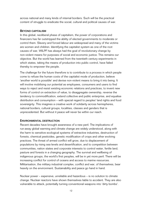across national and many kinds of internal borders. Such will be the practical content of struggle to eradicate the social, cultural and political causes of war.

## BEYOND CAPITALISM

In this global, neoliberal phase of capitalism, the power of corporations and financiers has far outstripped the ability of elected governments to moderate or control them. Slavery and forced labour are widespread and many of the victims are women and children. Identifying the capitalist system as one of the root causes of war, WILPF has always had the goal of revolutionary change by non-violent means for purposes of social and economic justice. This remains our objective. But the world has learned from the twentieth century experiments in which states, taking the means of production into public control, have failed thereby to empower the people.

The challenge for the future therefore is to contribute to a process in which people come to refuse the human costs of the capitalist mode of production, believe 'another world is possible' and devise non-violent means to bring it into being. It will involve mobilising our potential as employees, consumers and users to find ways to reject and resist existing economic relations and practices, to invent new forms of control on extraction of value, to disaggregate ownership, reverse the tendency to commodification, extend collective and public enterprise, and equalise distribution and consumption – with special regard to peoples' land rights and food sovereignty. This imagines a creative work of solidarity across hemispheres, national borders, cultural groups, localities, classes and genders that is unprecedented. But without it peace will never be within our reach.

# ENVIRONMENTAL DESTRUCTION

Recent decades have brought awareness of a new peril. The implications of run-away global warming and climate change are widely understood, along with the harm to sensitive ecological systems of extractive industries, destruction of forests, chemical pesticides, genetic modification of crops and other evolving practices. The threat of armed conflict will grow, due to displacement of populations by rising sea levels and desertification, and to competition between communities, nation states and corporate interests to control water, fertile land, pasture and forests in a changing geography. The survival and wellbeing of indigenous groups, the world's first peoples, will be in yet more peril. There will be increasing conflict for control of oceans and access to marine resources. Militarisation, the military industrial complex, conflict and war, of themselves, bear heavily on the environment. Sustainability and peace go hand in hand.

Nuclear power – expensive, unreliable and hazardous – is no solution to climate change. Nuclear reactors have shown themselves liable to accident. They are also vulnerable to attack, potentially turning conventional weapons into 'dirty bombs'.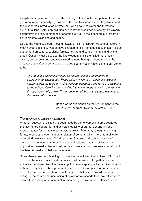Despite the imperative to reduce the burning of fossil fuels, competition for oil and gas resources is intensifying – witness the rush to access the melting Arctic, and the widespread introduction of 'fracking', which pollutes water and threatens agricultural land. Safe, non-polluting and renewable sources of energy are already competitive in price. Their speedy adoption is vital, in the inseparable interests of environmental wellbeing and peace.

Due to the marked, though varying, sexual division of labour throughout history in most human societies, women have characteristically engaged in such activities as gathering, horticulture, cooking, fertility, nurture and care of humans and animal stock. Our aim must be to see the knowledge and skills entailed more highly valued, better rewarded, and recognised as contributing to peace through the creation of the life-supporting societies and economies in which alone it can come to be.

'We identified patriarchal values as the root causes contributing to environmental exploitation. These values which see women, animals and nature as objects to be owned, colonized, consumed and forced to yield and to reproduce, allow for the overall pollution and destruction of the earth and the oppression of people. The introduction of feminist values is essential to the healing of our planet.'

> Report of the Workshop on the Environment to the WILPF 24<sup>th</sup> Congress, Sydney, Australia, 1989.

## TRANSFORMING GENDER RELATIONS

Although substantial gains have been made by some women in some countries in the last hundred years, full and universal equality of status, opportunity and representation for women is still a distant dream. Patriarchy, though in shifting forms, is persisting over time as a relation of power in which men, hierarchically ordered, dominate women. The degree and features of the subordination of women vary between countries, classes and cultures, but it is reinforced by physical and sexual violence so widespread, persistent and frequently lethal that it has been termed a 'global war on women'.

Strengthening women, listening to women and amplifying their voices, WILPF will continue the work of our founders, many of whom were suffragettes, for the articulation and exercise of women's rights in every sphere of life, for like them we believe such justice to be a precondition of peace. As we gain a greater presence in elected bodies and positions of authority, we shall seek to avoid co-option, changing the nature and functioning of power as we accede to it. We will strive to assure that coming generations of women and girls have gender choices other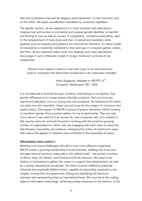than the constraints imposed by religious authoritarianism, on the one hand, and, on the other, the hyper-sexualisation mandated by consumer capitalism.

The gender system, as we experience it in most societies and subcultures, shaping men and women in contrasted and unequal gender identities, is harmful and limiting to men as well as women. A competitive, combative masculinity, alien to the temperament of many boys and men, is valued and rewarded, while qualities such as empathy and patience are shunned as 'feminine'. A violent model of masculinity is insistently marketed to men and boys in computer games, videos and films. Some individual males resist this shaping, and a few subcultures discourage it, but a militaristic model of 'proper manhood' continues to be widespread.

'Women must cease to admire a man with a gun in his hand and must seek to counteract the destructive tendencies in the masculine mentality.'

> Anita Augspurg, delegate to WILPF's 4<sup>th</sup> Congress, Washington DC, 1924.

It is foundational in feminist thought, however, that biology is not destiny, that gender difference is to a large extent culturally produced. How our boys are reared and educated, how our young men are socialised, the behaviours for which our adult men are rewarded - these can and must be the subject of conscious and explicit policy. One aspect of WILPF's pursuit of peace, therefore, will be working to transform gender from a power relation to one of partnership. This can only come about if men wish for it as women do, and cooperate with us to achieve it. We warmly welcome and look forward to working with the small but growing number of organisations in which men are engaging with each other to sever the link between masculinity and violence, reshaping the notion of manhood in ways that reduce the appeal of militarism and contribute to the possibility of peace.

## ORGANISING INTELLIGENTLY

Meeting such future challenges will call for ever more effective organising. WILPF needs a growing membership in local branches, building into more and stronger national sections, especially in the 'global south' - the poorer countries of Africa, Asia, the Pacific, and Central and South America. We need to be tireless in fundraising to gather the means to support their development, as well as a strong international secretariat. The latter must be staffed by politically informed and practically skilled women, capable of responding creatively to the insights coming from the grassroots, linking and amplifying the Sections' activities and representing them at international level. We must be at the cutting edge of information technology, achieving a lively presence on the Internet, in the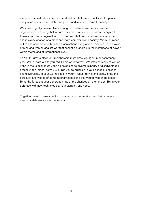media, in the institutions and on the street, so that feminist activism for peace and justice becomes a widely recognised and influential force for change.

We must urgently develop links among and between women and women's organisations, ensuring that we are embedded within, and lend our energies to, a feminist movement against violence and war that has expression at every level and in every location of a more and more complex world society. We must reach out to and cooperate with peace organisations everywhere, raising a unified voice of men and women against war that cannot be ignored in the institutions of power within states and at international level.

As WILPF grows older, our membership must grow younger. In our centenary year, WILPF calls out to you, WILPFers of tomorrow. We imagine many of you as living in the 'global south', and as belonging to diverse minority or disadvantaged groups in the 'global north'. We urge you to organise in your schools, colleges and universities, in your workplaces, in your villages, towns and cities. Bring the particular knowledge of contemporary conditions that young women possess. Bring the foresight your generation has of the changes on the horizon. Bring your deftness with new technologies, your vibrancy and hope.

Together we will make a reality of women's power to stop war. Let us have no need to celebrate another centenary!